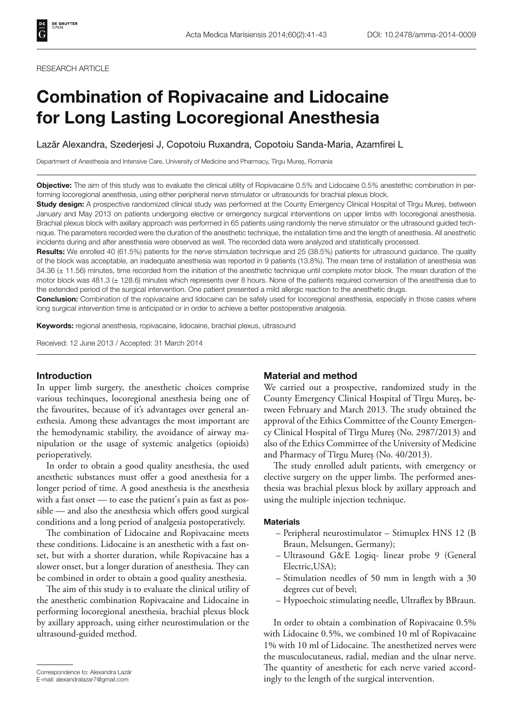#### RESEARCH ARTICLE

# **Combination of Ropivacaine and Lidocaine for Long Lasting Locoregional Anesthesia**

Lazăr Alexandra, Szederjesi J, Copotoiu Ruxandra, Copotoiu Sanda-Maria, Azamfirei L

Department of Anesthesia and Intensive Care, University of Medicine and Pharmacy, Tîrgu Mureș, Romania

**Objective:** The aim of this study was to evaluate the clinical utility of Ropivacaine 0.5% and Lidocaine 0.5% anestethic combination in performing locoregional anesthesia, using either peripheral nerve stimulator or ultrasounds for brachial plexus block.

**Study design:** A prospective randomized clinical study was performed at the County Emergency Clinical Hospital of Tîrgu Mureș, between January and May 2013 on patients undergoing elective or emergency surgical interventions on upper limbs with locoregional anesthesia. Brachial plexus block with axillary approach was performed in 65 patients using randomly the nerve stimulator or the ultrasound guided technique. The parameters recorded were the duration of the anesthetic technique, the installation time and the length of anesthesia. All anesthetic incidents during and after anesthesia were observed as well. The recorded data were analyzed and statistically processed.

**Results:** We enrolled 40 (61.5%) patients for the nerve stimulation technique and 25 (38.5%) patients for ultrasound guidance. The quality of the block was acceptable, an inadequate anesthesia was reported in 9 patients (13.8%). The mean time of installation of anesthesia was 34.36 (± 11.56) minutes, time recorded from the initiation of the anesthetic technique until complete motor block. The mean duration of the motor block was 481.3 (± 128.6) minutes which represents over 8 hours. None of the patients required conversion of the anesthesia due to the extended period of the surgical intervention. One patient presented a mild allergic reaction to the anesthetic drugs.

**Conclusion:** Combination of the ropivacaine and lidocaine can be safely used for locoregional anesthesia, especially in those cases where long surgical intervention time is anticipated or in order to achieve a better postoperative analgesia.

**Keywords:** regional anesthesia, ropivacaine, lidocaine, brachial plexus, ultrasound

Received: 12 June 2013 / Accepted: 31 March 2014

# **Introduction**

In upper limb surgery, the anesthetic choices comprise various techinques, locoregional anesthesia being one of the favourites, because of it's advantages over general anesthesia. Among these advantages the most important are the hemodynamic stability, the avoidance of airway manipulation or the usage of systemic analgetics (opioids) perioperatively.

In order to obtain a good quality anesthesia, the used anesthetic substances must offer a good anesthesia for a longer period of time. A good anesthesia is the anesthesia with a fast onset — to ease the patient's pain as fast as pos $sible$  — and also the anesthesia which offers good surgical conditions and a long period of analgesia postoperatively.

The combination of Lidocaine and Ropivacaine meets these conditions. Lidocaine is an anesthetic with a fast onset, but with a shorter duration, while Ropivacaine has a slower onset, but a longer duration of anesthesia. They can be combined in order to obtain a good quality anesthesia.

The aim of this study is to evaluate the clinical utility of the anesthetic combination Ropivacaine and Lidocaine in performing locoregional anesthesia, brachial plexus block by axillary approach, using either neurostimulation or the ultrasound-guided method.

# **Material and method**

We carried out a prospective, randomized study in the County Emergency Clinical Hospital of Tîrgu Mureș, between February and March 2013. The study obtained the approval of the Ethics Committee of the County Emergency Clinical Hospital of Tîrgu Mureș (No. 2987/2013) and also of the Ethics Committee of the University of Medicine and Pharmacy of Tîrgu Mureș (No. 40/2013).

The study enrolled adult patients, with emergency or elective surgery on the upper limbs. The performed anesthesia was brachial plexus block by axillary approach and using the multiple injection technique.

#### **Materials**

- Peripheral neurostimulator Stimuplex HNS 12 (B Braun, Melsungen, Germany);
- Ultrasound G&E Logiq- linear probe 9 (General Electric,USA);
- Stimulation needles of 50 mm in length with a 30 degrees cut of bevel;
- Hypoechoic stimulating needle, Ultraflex by BBraun.

In order to obtain a combination of Ropivacaine 0.5% with Lidocaine 0.5%, we combined 10 ml of Ropivacaine 1% with 10 ml of Lidocaine. The anesthetized nerves were the musculocutaneus, radial, median and the ulnar nerve. The quantity of anesthetic for each nerve varied accord-Correspondence to: Alexandra Lazăr<br>
E-mail: alexandralazar7@gmail.com **ingly to the length of the surgical intervention**.

E-mail: alexandralazar7@gmail.com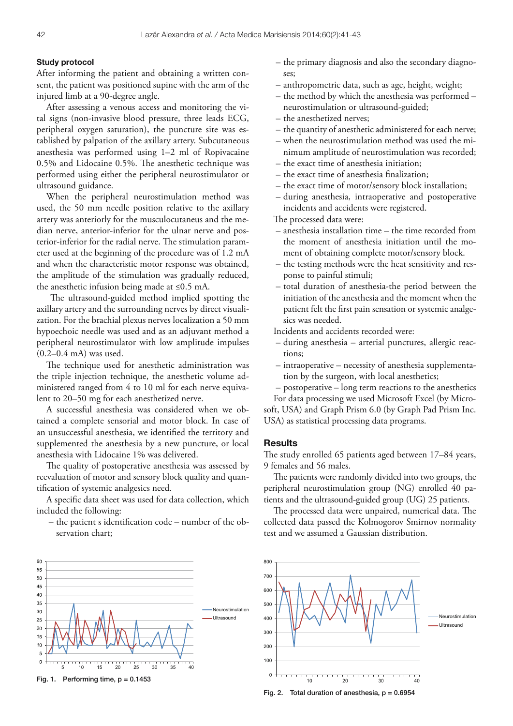## **Study protocol**

After informing the patient and obtaining a written consent, the patient was positioned supine with the arm of the injured limb at a 90-degree angle.

After assessing a venous access and monitoring the vital signs (non-invasive blood pressure, three leads ECG, peripheral oxygen saturation), the puncture site was established by palpation of the axillary artery. Subcutaneous anesthesia was performed using 1–2 ml of Ropivacaine 0.5% and Lidocaine 0.5%. The anesthetic technique was performed using either the peripheral neurostimulator or ultrasound guidance.

When the peripheral neurostimulation method was used, the 50 mm needle position relative to the axillary artery was anteriorly for the musculocutaneus and the median nerve, anterior-inferior for the ulnar nerve and posterior-inferior for the radial nerve. The stimulation parameter used at the beginning of the procedure was of 1.2 mA and when the characteristic motor response was obtained, the amplitude of the stimulation was gradually reduced, the anesthetic infusion being made at ≤0.5 mA.

The ultrasound-guided method implied spotting the axillary artery and the surrounding nerves by direct visualization. For the brachial plexus nerves localization a 50 mm hypoechoic needle was used and as an adjuvant method a peripheral neurostimulator with low amplitude impulses (0.2–0.4 mA) was used.

The technique used for anesthetic administration was the triple injection technique, the anesthetic volume administered ranged from 4 to 10 ml for each nerve equivalent to 20–50 mg for each anesthetized nerve.

A successful anesthesia was considered when we obtained a complete sensorial and motor block. In case of an unsuccessful anesthesia, we identified the territory and supplemented the anesthesia by a new puncture, or local anesthesia with Lidocaine 1% was delivered.

The quality of postoperative anesthesia was assessed by reevaluation of motor and sensory block quality and quantification of systemic analgesics need.

A specific data sheet was used for data collection, which included the following:

 $-$  the patient s identification code – number of the observation chart;



- the primary diagnosis and also the secondary diagnoses;
- anthropometric data, such as age, height, weight;
- the method by which the anesthesia was performed neurostimulation or ultrasound-guided;
- the anesthetized nerves;
- the quantity of anesthetic administered for each nerve;
- when the neurostimulation method was used the mi-
- nimum amplitude of neurostimulation was recorded;
- the exact time of anesthesia initiation;
- $-$  the exact time of anesthesia finalization;
- the exact time of motor/sensory block installation;
- during anesthesia, intraoperative and postoperative incidents and accidents were registered.

The processed data were:

- anesthesia installation time the time recorded from the moment of anesthesia initiation until the moment of obtaining complete motor/sensory block.
- the testing methods were the heat sensitivity and response to painful stimuli;
- total duration of anesthesia-the period between the initiation of the anesthesia and the moment when the patient felt the first pain sensation or systemic analgesics was needed.

Incidents and accidents recorded were:

- during anesthesia arterial punctures, allergic reactions;
- intraoperative necessity of anesthesia supplementation by the surgeon, with local anesthetics;
- postoperative long term reactions to the anesthetics For data processing we used Microsoft Excel (by Micro-

soft, USA) and Graph Prism 6.0 (by Graph Pad Prism Inc. USA) as statistical processing data programs.

## **Results**

The study enrolled 65 patients aged between 17–84 years, 9 females and 56 males.

The patients were randomly divided into two groups, the peripheral neurostimulation group (NG) enrolled 40 patients and the ultrasound-guided group (UG) 25 patients.

The processed data were unpaired, numerical data. The collected data passed the Kolmogorov Smirnov normality test and we assumed a Gaussian distribution.



Fig. 2. Total duration of anesthesia,  $p = 0.6954$